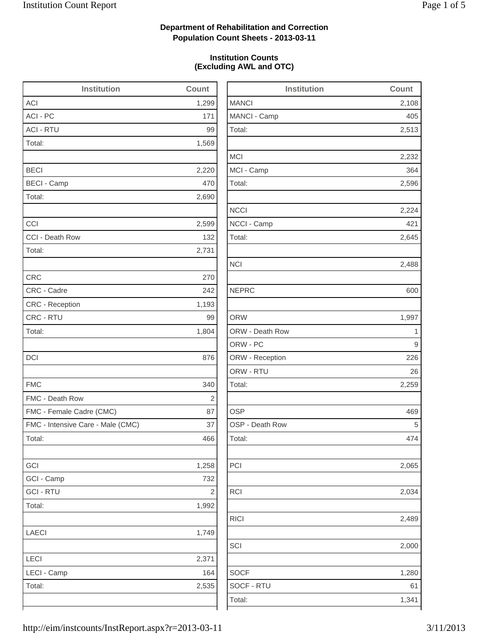2,513

2,232

2,596

2,224

2,645

2,488

2,065

2,034

2,489

1,280

### **Department of Rehabilitation and Correction Population Count Sheets - 2013-03-11**

### **Institution Counts (Excluding AWL and OTC)**

| <b>Institution</b>                | Count                   | <b>Institution</b> | Count |
|-----------------------------------|-------------------------|--------------------|-------|
| <b>ACI</b>                        | 1,299                   | <b>MANCI</b>       | 2,108 |
| ACI - PC                          | 171                     | MANCI - Camp       | 405   |
| <b>ACI - RTU</b>                  | 99                      | Total:             | 2,513 |
| Total:                            | 1,569                   |                    |       |
|                                   |                         | <b>MCI</b>         | 2,232 |
| <b>BECI</b>                       | 2,220                   | MCI - Camp         | 364   |
| <b>BECI - Camp</b>                | 470                     | Total:             | 2,596 |
| Total:                            | 2,690                   |                    |       |
|                                   |                         | <b>NCCI</b>        | 2,224 |
| CCI                               | 2,599                   | NCCI - Camp        | 421   |
| CCI - Death Row                   | 132                     | Total:             | 2,645 |
| Total:                            | 2,731                   |                    |       |
|                                   |                         | <b>NCI</b>         | 2,488 |
| <b>CRC</b>                        | 270                     |                    |       |
| CRC - Cadre                       | 242                     | <b>NEPRC</b>       | 600   |
| <b>CRC</b> - Reception            | 1,193                   |                    |       |
| CRC - RTU                         | 99                      | <b>ORW</b>         | 1,997 |
| Total:                            | 1,804                   | ORW - Death Row    | 1     |
|                                   |                         | ORW - PC           | 9     |
| <b>DCI</b>                        | 876                     | ORW - Reception    | 226   |
|                                   |                         | ORW - RTU          | 26    |
| <b>FMC</b>                        | 340                     | Total:             | 2,259 |
| FMC - Death Row                   | $\sqrt{2}$              |                    |       |
| FMC - Female Cadre (CMC)          | 87                      | <b>OSP</b>         | 469   |
| FMC - Intensive Care - Male (CMC) | 37                      | OSP - Death Row    | 5     |
| Total:                            | 466                     | Total:             | 474   |
| GCI                               | 1,258                   | PCI                | 2,065 |
| GCI - Camp                        | 732                     |                    |       |
| <b>GCI - RTU</b>                  | $\overline{\mathbf{c}}$ | <b>RCI</b>         | 2,034 |
| Total:                            | 1,992                   |                    |       |
|                                   |                         | <b>RICI</b>        | 2,489 |
| LAECI                             | 1,749                   |                    |       |
|                                   |                         | SCI                | 2,000 |
| LECI                              | 2,371                   |                    |       |
| LECI - Camp                       | 164                     | <b>SOCF</b>        | 1,280 |
| Total:                            | 2,535                   | SOCF - RTU         | 61    |
|                                   |                         | Total:             | 1,341 |
|                                   |                         |                    |       |

http://eim/instcounts/InstReport.aspx?r=2013-03-11 3/11/2013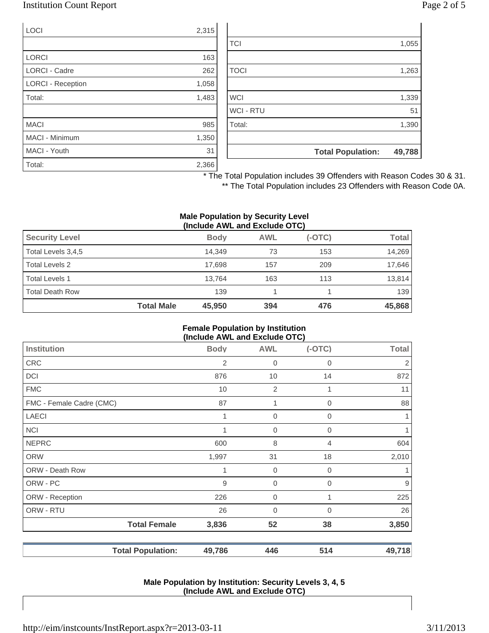### Institution Count Report Page 2 of 5

| <b>LOCI</b>              | 2,315 |
|--------------------------|-------|
|                          |       |
| <b>LORCI</b>             | 163   |
| LORCI - Cadre            | 262   |
| <b>LORCI - Reception</b> | 1,058 |
| Total:                   | 1,483 |
|                          |       |
| <b>MACI</b>              | 985   |
| MACI - Minimum           | 1,350 |
| MACI - Youth             | 31    |
| Total:                   | 2,366 |

|                  | <b>Total Population:</b> | 49,788 |
|------------------|--------------------------|--------|
|                  |                          |        |
| Total:           |                          | 1,390  |
| <b>WCI - RTU</b> |                          | 51     |
| <b>WCI</b>       |                          | 1,339  |
|                  |                          |        |
| <b>TOCI</b>      |                          | 1,263  |
|                  |                          |        |
| <b>TCI</b>       |                          | 1,055  |
|                  |                          |        |

\* The Total Population includes 39 Offenders with Reason Codes 30 & 31.

\*\* The Total Population includes 23 Offenders with Reason Code 0A.

#### **Male Population by Security Level (Include AWL and Exclude OTC)**

| $\mathbf{u}$           |                   |             |            |          |              |
|------------------------|-------------------|-------------|------------|----------|--------------|
| <b>Security Level</b>  |                   | <b>Body</b> | <b>AWL</b> | $(-OTC)$ | <b>Total</b> |
| Total Levels 3,4,5     |                   | 14.349      | 73         | 153      | 14,269       |
| Total Levels 2         |                   | 17.698      | 157        | 209      | 17,646       |
| <b>Total Levels 1</b>  |                   | 13.764      | 163        | 113      | 13,814       |
| <b>Total Death Row</b> |                   | 139         |            |          | 139          |
|                        | <b>Total Male</b> | 45,950      | 394        | 476      | 45,868       |

#### **Female Population by Institution (Include AWL and Exclude OTC)**

| $(1101440)$ and the thoration of $\sigma$ |                          |             |                  |                |                |
|-------------------------------------------|--------------------------|-------------|------------------|----------------|----------------|
| <b>Institution</b>                        |                          | <b>Body</b> | <b>AWL</b>       | $(-OTC)$       | <b>Total</b>   |
| <b>CRC</b>                                |                          | 2           | $\boldsymbol{0}$ | $\mathbf 0$    | $\overline{2}$ |
| DCI                                       |                          | 876         | 10               | 14             | 872            |
| <b>FMC</b>                                |                          | 10          | $\overline{2}$   |                | 11             |
| FMC - Female Cadre (CMC)                  |                          | 87          | 1                | $\mathbf 0$    | 88             |
| <b>LAECI</b>                              |                          | 1           | $\mathbf 0$      | $\mathbf 0$    | 1              |
| <b>NCI</b>                                |                          |             | 0                | 0              |                |
| <b>NEPRC</b>                              |                          | 600         | 8                | 4              | 604            |
| ORW                                       |                          | 1,997       | 31               | 18             | 2,010          |
| ORW - Death Row                           |                          | 1           | $\mathbf 0$      | $\overline{0}$ |                |
| ORW - PC                                  |                          | 9           | $\mathbf 0$      | $\mathbf 0$    | $9\,$          |
| ORW - Reception                           |                          | 226         | $\mathbf 0$      | 1              | 225            |
| ORW - RTU                                 |                          | 26          | 0                | 0              | 26             |
|                                           | <b>Total Female</b>      | 3,836       | 52               | 38             | 3,850          |
|                                           | <b>Total Population:</b> | 49,786      | 446              | 514            | 49,718         |

#### **Male Population by Institution: Security Levels 3, 4, 5 (Include AWL and Exclude OTC)**

http://eim/instcounts/InstReport.aspx?r=2013-03-11 3/11/2013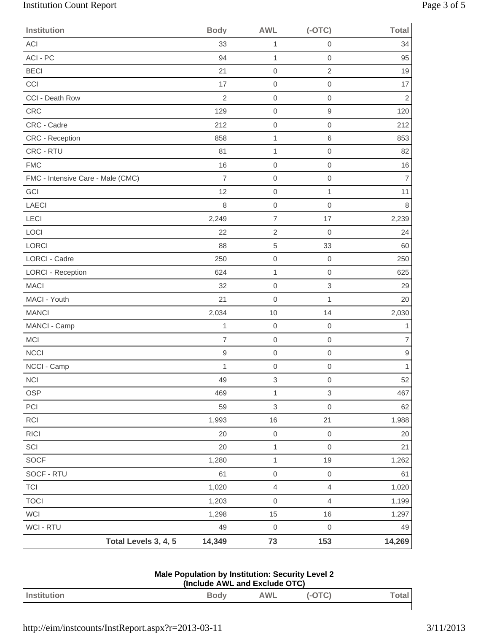# Institution Count Report Page 3 of 5

| <b>Institution</b>                | <b>Body</b>    | <b>AWL</b>                | $(-OTC)$                  | <b>Total</b>   |
|-----------------------------------|----------------|---------------------------|---------------------------|----------------|
| ACI                               | 33             | 1                         | $\mathbf 0$               | 34             |
| ACI - PC                          | 94             | 1                         | $\mathbf 0$               | 95             |
| <b>BECI</b>                       | 21             | $\mathbf 0$               | $\overline{2}$            | 19             |
| CCI                               | 17             | $\mathbf 0$               | $\mathbf 0$               | 17             |
| CCI - Death Row                   | $\overline{2}$ | $\boldsymbol{0}$          | $\mathbf 0$               | $\overline{2}$ |
| CRC                               | 129            | $\mbox{O}$                | $\hbox{9}$                | 120            |
| CRC - Cadre                       | 212            | $\mathbf 0$               | $\mathbf 0$               | 212            |
| CRC - Reception                   | 858            | 1                         | 6                         | 853            |
| CRC - RTU                         | 81             | 1                         | $\mathbf 0$               | 82             |
| <b>FMC</b>                        | 16             | $\boldsymbol{0}$          | $\mathbf 0$               | 16             |
| FMC - Intensive Care - Male (CMC) | $\overline{7}$ | $\mathbf 0$               | $\mathbf 0$               | $\overline{7}$ |
| GCI                               | 12             | $\boldsymbol{0}$          | $\mathbf{1}$              | 11             |
| <b>LAECI</b>                      | 8              | $\boldsymbol{0}$          | $\mathbf 0$               | 8              |
| LECI                              | 2,249          | $\overline{7}$            | 17                        | 2,239          |
| LOCI                              | 22             | $\sqrt{2}$                | $\mathbf 0$               | 24             |
| <b>LORCI</b>                      | 88             | 5                         | 33                        | 60             |
| <b>LORCI - Cadre</b>              | 250            | $\boldsymbol{0}$          | $\mathbf 0$               | 250            |
| LORCI - Reception                 | 624            | 1                         | $\mathbf 0$               | 625            |
| <b>MACI</b>                       | 32             | $\mathbf 0$               | $\ensuremath{\mathsf{3}}$ | 29             |
| MACI - Youth                      | 21             | $\boldsymbol{0}$          | $\mathbf{1}$              | 20             |
| <b>MANCI</b>                      | 2,034          | 10                        | 14                        | 2,030          |
| MANCI - Camp                      | $\mathbf 1$    | $\boldsymbol{0}$          | $\mathbf 0$               | $\mathbf{1}$   |
| MCI                               | $\overline{7}$ | $\mathbf 0$               | $\mathbf 0$               | $\overline{7}$ |
| <b>NCCI</b>                       | $\hbox{9}$     | $\boldsymbol{0}$          | $\mathbf 0$               | $\hbox{9}$     |
| NCCI - Camp                       | $\mathbf{1}$   | $\boldsymbol{0}$          | $\mathbf 0$               | 1              |
| <b>NCI</b>                        | 49             | $\ensuremath{\mathsf{3}}$ | $\mbox{O}$                | 52             |
| OSP                               | 469            | $\mathbf 1$               | $\,$ 3 $\,$               | 467            |
| PCI                               | 59             | 3                         | $\mathbf 0$               | 62             |
| RCI                               | 1,993          | 16                        | 21                        | 1,988          |
| RICI                              | 20             | $\mbox{O}$                | $\mbox{O}$                | 20             |
| SCI                               | 20             | $\mathbf 1$               | $\mathbf 0$               | 21             |
| SOCF                              | 1,280          | $\mathbf 1$               | 19                        | 1,262          |
| SOCF - RTU                        | 61             | $\mbox{O}$                | $\mathbf 0$               | 61             |
| <b>TCI</b>                        | 1,020          | $\overline{4}$            | $\overline{4}$            | 1,020          |
| <b>TOCI</b>                       | 1,203          | $\mbox{O}$                | 4                         | 1,199          |
| WCI                               | 1,298          | 15                        | 16                        | 1,297          |
| WCI - RTU                         | 49             | $\mbox{O}$                | $\mbox{O}$                | 49             |
| Total Levels 3, 4, 5              | 14,349         | 73                        | 153                       | 14,269         |

### **Male Population by Institution: Security Level 2 (Include AWL and Exclude OTC)**

| In <sub>eff</sub><br>ion | Body<br>$\sim$ | <b>AWL</b> | $\Lambda$ TC<br>$\sim$<br>$\sim$ | otal |
|--------------------------|----------------|------------|----------------------------------|------|
|                          |                |            |                                  |      |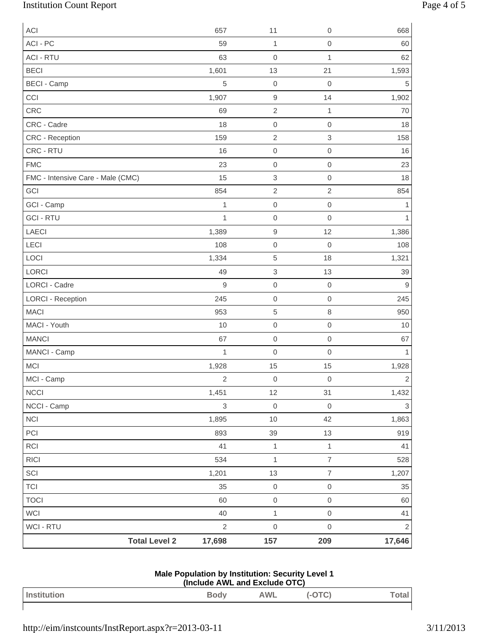# Institution Count Report Page 4 of 5

| ACI                               | 657                       | 11                  | $\mathbf 0$               | 668                       |
|-----------------------------------|---------------------------|---------------------|---------------------------|---------------------------|
| ACI - PC                          | 59                        | 1                   | $\mathbf 0$               | 60                        |
| <b>ACI - RTU</b>                  | 63                        | $\mathbf 0$         | $\mathbf{1}$              | 62                        |
| <b>BECI</b>                       | 1,601                     | 13                  | 21                        | 1,593                     |
| <b>BECI - Camp</b>                | 5                         | $\mathsf{O}\xspace$ | $\mathbf 0$               | 5                         |
| CCI                               | 1,907                     | $\hbox{9}$          | 14                        | 1,902                     |
| CRC                               | 69                        | $\overline{2}$      | $\mathbf{1}$              | 70                        |
| CRC - Cadre                       | 18                        | $\mathsf{O}\xspace$ | $\mathbf 0$               | 18                        |
| CRC - Reception                   | 159                       | $\sqrt{2}$          | $\ensuremath{\mathsf{3}}$ | 158                       |
| CRC - RTU                         | 16                        | $\mathsf{O}\xspace$ | $\mathbf 0$               | 16                        |
| <b>FMC</b>                        | 23                        | $\mathsf{O}\xspace$ | $\mathbf 0$               | 23                        |
| FMC - Intensive Care - Male (CMC) | 15                        | $\,$ 3 $\,$         | $\mathbf 0$               | 18                        |
| GCI                               | 854                       | $\overline{2}$      | $\overline{2}$            | 854                       |
| GCI - Camp                        | $\mathbf{1}$              | $\mathsf{O}\xspace$ | $\mbox{O}$                | 1                         |
| <b>GCI - RTU</b>                  | $\mathbf{1}$              | $\mathsf 0$         | $\mathbf 0$               | 1                         |
| LAECI                             | 1,389                     | $\hbox{9}$          | 12                        | 1,386                     |
| LECI                              | 108                       | $\mathsf 0$         | $\boldsymbol{0}$          | 108                       |
| LOCI                              | 1,334                     | 5                   | 18                        | 1,321                     |
| LORCI                             | 49                        | $\,$ 3 $\,$         | 13                        | 39                        |
| LORCI - Cadre                     | $\mathsf g$               | $\mathsf 0$         | $\mathbf 0$               | 9                         |
| <b>LORCI - Reception</b>          | 245                       | $\mathsf 0$         | $\mathbf 0$               | 245                       |
| <b>MACI</b>                       | 953                       | $\,$ 5 $\,$         | $\,8\,$                   | 950                       |
| MACI - Youth                      | 10                        | $\mathsf{O}\xspace$ | $\mathbf 0$               | 10                        |
| <b>MANCI</b>                      | 67                        | $\mathsf{O}\xspace$ | $\mathbf 0$               | 67                        |
| MANCI - Camp                      | $\mathbf{1}$              | $\mathbf 0$         | $\mathbf 0$               | 1                         |
| <b>MCI</b>                        | 1,928                     | 15                  | 15                        | 1,928                     |
| MCI - Camp                        | $\sqrt{2}$                | $\mathsf{O}\xspace$ | $\mathsf{O}\xspace$       | $\sqrt{2}$                |
| <b>NCCI</b>                       | 1,451                     | 12                  | 31                        | 1,432                     |
| NCCI - Camp                       | $\ensuremath{\mathsf{3}}$ | $\mathsf{O}\xspace$ | $\mathbf 0$               | $\ensuremath{\mathsf{3}}$ |
| <b>NCI</b>                        | 1,895                     | $10$                | 42                        | 1,863                     |
| PCI                               | 893                       | 39                  | 13                        | 919                       |
| RCI                               | 41                        | $\mathbf 1$         | $\mathbf{1}$              | 41                        |
| RICI                              | 534                       | $\mathbf 1$         | $\overline{7}$            | 528                       |
| SCI                               | 1,201                     | 13                  | $\overline{7}$            | 1,207                     |
| <b>TCI</b>                        | 35                        | $\mathsf{O}\xspace$ | $\mbox{O}$                | 35                        |
| <b>TOCI</b>                       | 60                        | $\mathsf{O}\xspace$ | $\mathbf 0$               | 60                        |
| WCI                               | 40                        | $\mathbf 1$         | $\mbox{O}$                | 41                        |
| WCI - RTU                         | $\overline{2}$            | $\mathsf{O}\xspace$ | $\mathbf 0$               | $\sqrt{2}$                |
| <b>Total Level 2</b>              | 17,698                    | 157                 | 209                       | 17,646                    |

| Male Population by Institution: Security Level 1 |
|--------------------------------------------------|
| (Include AWL and Exclude OTC)                    |

| Institution | <b>Body</b> | <b>AWL</b> | ັ<br> |  |
|-------------|-------------|------------|-------|--|
|             |             |            |       |  |